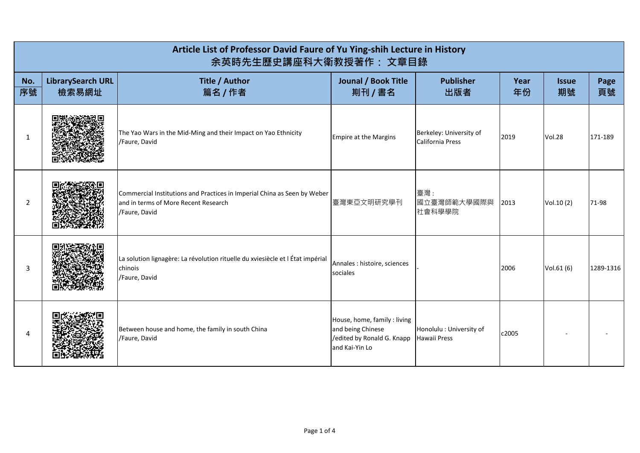| Article List of Professor David Faure of Yu Ying-shih Lecture in History<br>余英時先生歷史講座科大衛教授著作: 文章目錄 |                                   |                                                                                                                                   |                                                                                                   |                                             |            |                    |            |  |
|----------------------------------------------------------------------------------------------------|-----------------------------------|-----------------------------------------------------------------------------------------------------------------------------------|---------------------------------------------------------------------------------------------------|---------------------------------------------|------------|--------------------|------------|--|
| No.<br>序號                                                                                          | <b>LibrarySearch URL</b><br>檢索易網址 | Title / Author<br>篇名 / 作者                                                                                                         | <b>Jounal / Book Title</b><br>剘刊 / 書名                                                             | <b>Publisher</b><br>出版者                     | Year<br>年份 | <b>Issue</b><br>期號 | Page<br>頁號 |  |
| 1                                                                                                  |                                   | The Yao Wars in the Mid-Ming and their Impact on Yao Ethnicity<br>/Faure, David                                                   | <b>Empire at the Margins</b>                                                                      | Berkeley: University of<br>California Press | 2019       | <b>Vol.28</b>      | 171-189    |  |
| 2                                                                                                  |                                   | Commercial Institutions and Practices in Imperial China as Seen by Weber<br>and in terms of More Recent Research<br>/Faure, David | 臺灣東亞文明研究學刊                                                                                        | 臺灣:<br>國立臺灣師範大學國際與<br>社會科學學院                | 2013       | Vol.10(2)          | 71-98      |  |
| 3                                                                                                  |                                   | La solution lignagère: La révolution rituelle du xviesiècle et l État impérial<br>chinois<br>/Faure, David                        | Annales : histoire, sciences<br>sociales                                                          |                                             | 2006       | Vol.61(6)          | 1289-1316  |  |
| 4                                                                                                  |                                   | Between house and home, the family in south China<br>/Faure, David                                                                | House, home, family : living<br>and being Chinese<br>/edited by Ronald G. Knapp<br>and Kai-Yin Lo | Honolulu : University of<br>Hawaii Press    | c2005      |                    |            |  |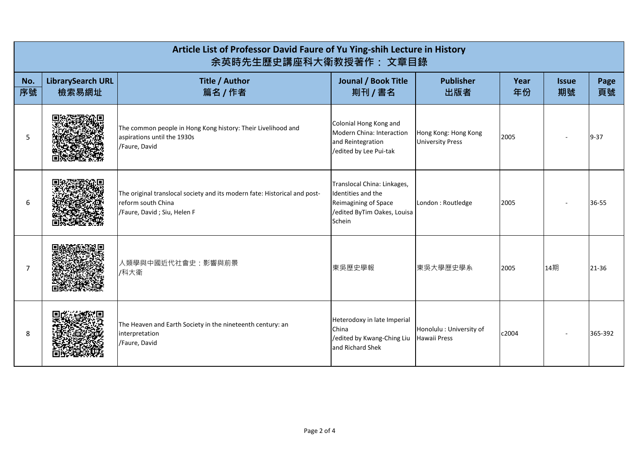| Article List of Professor David Faure of Yu Ying-shih Lecture in History<br>余英時先生歷史講座科大衛教授著作: 文章目錄 |                                   |                                                                                                                                |                                                                                                                    |                                                 |            |                    |            |
|----------------------------------------------------------------------------------------------------|-----------------------------------|--------------------------------------------------------------------------------------------------------------------------------|--------------------------------------------------------------------------------------------------------------------|-------------------------------------------------|------------|--------------------|------------|
| No.<br>序號                                                                                          | <b>LibrarySearch URL</b><br>檢索易網址 | <b>Title / Author</b><br>篇名 / 作者                                                                                               | Jounal / Book Title<br>剘刊 / 書名                                                                                     | <b>Publisher</b><br>出版者                         | Year<br>年份 | <b>Issue</b><br>期號 | Page<br>頁號 |
| 5                                                                                                  |                                   | The common people in Hong Kong history: Their Livelihood and<br>aspirations until the 1930s<br>/Faure, David                   | Colonial Hong Kong and<br>Modern China: Interaction<br>and Reintegration<br>/edited by Lee Pui-tak                 | Hong Kong: Hong Kong<br><b>University Press</b> | 2005       |                    | $9 - 37$   |
| 6                                                                                                  |                                   | The original translocal society and its modern fate: Historical and post-<br>reform south China<br>/Faure, David; Siu, Helen F | Translocal China: Linkages,<br>Identities and the<br>Reimagining of Space<br>/edited ByTim Oakes, Louisa<br>Schein | London : Routledge                              | 2005       |                    | 36-55      |
| $\overline{7}$                                                                                     |                                   | 人類學與中國近代社會史:影響與前景<br>/科大衛                                                                                                      | 東吳歷史學報                                                                                                             | 東吳大學歷史學系                                        | 2005       | 14期                | 21-36      |
| 8                                                                                                  |                                   | The Heaven and Earth Society in the nineteenth century: an<br>interpretation<br>/Faure, David                                  | Heterodoxy in late Imperial<br>China<br>/edited by Kwang-Ching Liu<br>and Richard Shek                             | Honolulu : University of<br>Hawaii Press        | c2004      |                    | 365-392    |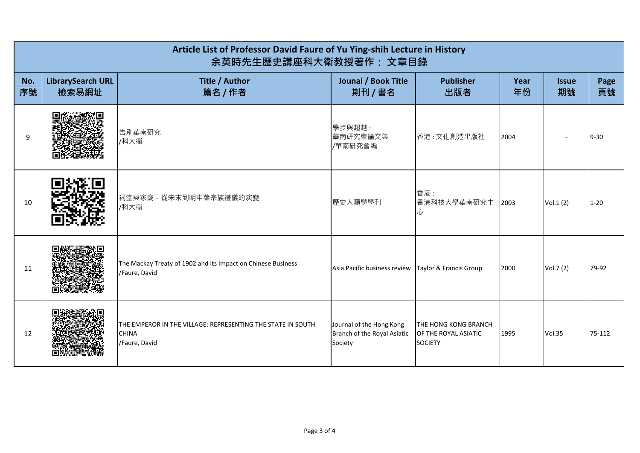| Article List of Professor David Faure of Yu Ying-shih Lecture in History<br>余英時先生歷史講座科大衛教授著作: 文章目錄 |                                   |                                                                                              |                                                                    |                                                                |            |                    |            |
|----------------------------------------------------------------------------------------------------|-----------------------------------|----------------------------------------------------------------------------------------------|--------------------------------------------------------------------|----------------------------------------------------------------|------------|--------------------|------------|
| No.<br>序號                                                                                          | <b>LibrarySearch URL</b><br>檢索易網址 | Title / Author<br>篇名 / 作者                                                                    | <b>Jounal / Book Title</b><br>剘刊 / 書名                              | <b>Publisher</b><br>出版者                                        | Year<br>年份 | <b>Issue</b><br>期號 | Page<br>頁號 |
| 9                                                                                                  |                                   | 告別華南研究<br>/科大衛                                                                               | 學步與超越:<br>華南研究會論文集<br>/華南研究會編                                      | 香港:文化創造出版社                                                     | 2004       |                    | $9 - 30$   |
| 10                                                                                                 |                                   | 祠堂與家廟 - 從宋末到明中葉宗族禮儀的演變<br>/科大衞                                                               | 歷史人類學學刊                                                            | 香港:<br>香港科技大學華南研究中<br>心                                        | 2003       | Vol.1(2)           | $1 - 20$   |
| 11                                                                                                 |                                   | The Mackay Treaty of 1902 and Its Impact on Chinese Business<br>/Faure, David                | Asia Pacific business review                                       | Taylor & Francis Group                                         | 2000       | Vol.7 (2)          | 79-92      |
| 12                                                                                                 |                                   | THE EMPEROR IN THE VILLAGE: REPRESENTING THE STATE IN SOUTH<br><b>CHINA</b><br>/Faure, David | Journal of the Hong Kong<br>Branch of the Royal Asiatic<br>Society | THE HONG KONG BRANCH<br>OF THE ROYAL ASIATIC<br><b>SOCIETY</b> | 1995       | <b>Vol.35</b>      | 75-112     |